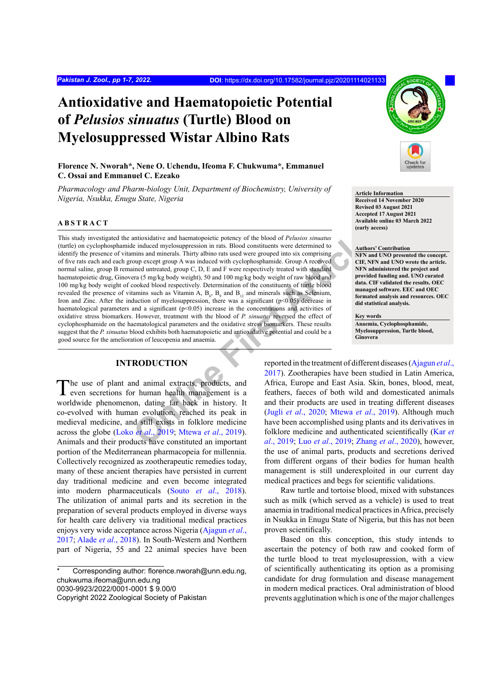# **Antioxidative and Haematopoietic Potential of** *Pelusios sinuatus* **(Turtle) Blood on Myelosuppressed Wistar Albino Rats**

# **Florence N. Nworah\*, Nene O. Uchendu, Ifeoma F. Chukwuma\*, Emmanuel C. Ossai and Emmanuel C. Ezeako**

*Pharmacology and Pharm-biology Unit, Department of Biochemistry, University of Nigeria, Nsukka, Enugu State, Nigeria*

## **ABSTRACT**

antioxidative and haematopoietic potency of the blood of *Pelusios simuatus*<br>
in installane in installane installane in the same of the blood of *S* and minimal on except group A was induced with cyclophosphamide. Group A This study investigated the antioxidative and haematopoietic potency of the blood of *Pelusios sinuatus* (turtle) on cyclophosphamide induced myelosuppression in rats. Blood constituents were determined to identify the presence of vitamins and minerals. Thirty albino rats used were grouped into six comprising of five rats each and each group except group A was induced with cyclophosphamide. Group A received normal saline, group B remained untreated, group C, D, E and F were respectively treated with standard haematopoietic drug, Ginovera (5 mg/kg body weight), 50 and 100 mg/kg body weight of raw blood and 100 mg/kg body weight of cooked blood respectively. Determination of the constituents of turtle blood revealed the presence of vitamins such as Vitamin A,  $B_6$ ,  $B_9$  and  $B_{12}$  and minerals such as Selenium, Iron and Zinc. After the induction of myelosuppression, there was a significant (p<0.05) decrease in haematological parameters and a significant  $(p<0.05)$  increase in the concentrations and activities of oxidative stress biomarkers. However, treatment with the blood of *P. sinuatus* reversed the effect of cyclophosphamide on the haematological parameters and the oxidative stress biomarkers. These results suggest that the *P. sinuatus* blood exhibits both haematopoietic and antioxidative potential and could be a good source for the amelioration of leucopenia and anaemia.

## **INTRODUCTION**

The use of plant and animal extracts, products, and even secretions for human health management is a worldwide phenomenon, dating far back in history. It co-evolved with human evolution, reached its peak in medieval medicine, and still exists in folklore medicine across the globe (Loko *et al*., 2019; Mtewa *et al*., 2019). Animals and their products have constituted an important portion of the Mediterranean pharmacopeia for millennia. Collectively recognized as zootherapeutic remedies today, many of these ancient therapies have persisted in current day traditional medicine and even become integrated into modern pharmaceuticals (Souto *et al*[., 2018](#page-5-2)). The utilization of animal parts and its secretion in the preparation of several products employed in diverse ways for health care delivery via traditional medical practices enjoys very wide acceptance across Nigeria ([Ajagun](#page-5-3) *et al*., [2017](#page-5-3); Alade *et al*[., 2018](#page-5-4)). In South-Western and Northern part of Nigeria, 55 and 22 animal species have been

Corresponding author: florence.nworah@unn.edu.ng, chukwuma.ifeoma@unn.edu.ng 0030-9923/2022/0001-0001 \$ 9.00/0

Copyright 2022 Zoological Society of Pakistan



#### **Article Information**

**Received 14 November 2020 Revised 03 August 2021 Accepted 17 August 2021 Available online 03 March 2022 (early access)**

#### **Authors' Contribution**

**NFN and UNO presented the concept. CIF, NFN and UNO wrote the article. NFN administered the project and provided funding and. UNO curated data. CIF validated the results. OEC managed software. EEC and OEC formated analysis and resources. OEC did statistical analysis.**

**Key words Anaemia, Cyclophosphamide,** 

**Myelosuppression, Turtle blood, Ginovera**

reported in the treatment of different diseases ([Ajagun](#page-5-3) *et al*., 2017). Zootherapies have been studied in Latin America, Africa, Europe and East Asia. Skin, bones, blood, meat, feathers, faeces of both wild and domesticated animals and their products are used in treating different diseases (Jugli *et al*., 2020; Mtewa *et al*., 2019). Although much have been accomplished using plants and its derivatives in folklore medicine and authenticated scientifically ([Kar](#page-5-6) *et al*., 2019; Luo *et al*., 2019; [Zhang](#page-6-0) *et al*., 2020), however, the use of animal parts, products and secretions derived from different organs of their bodies for human health management is still underexploited in our current day medical practices and begs for scientific validations.

Raw turtle and tortoise blood, mixed with substances such as milk (which served as a vehicle) is used to treat anaemia in traditional medical practices in Africa, precisely in Nsukka in Enugu State of Nigeria, but this has not been proven scientifically.

Based on this conception, this study intends to ascertain the potency of both raw and cooked form of the turtle blood to treat myelosupression, with a view of scientifically authenticating its option as a promising candidate for drug formulation and disease management in modern medical practices. Oral administration of blood prevents agglutination which is one of the major challenges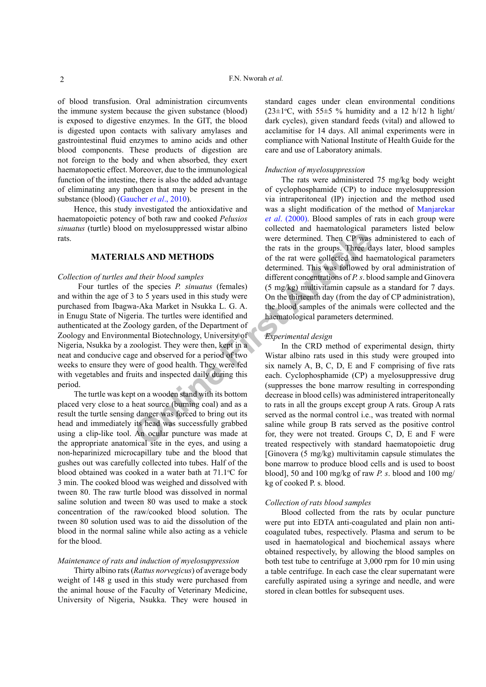of blood transfusion. Oral administration circumvents the immune system because the given substance (blood) is exposed to digestive enzymes. In the GIT, the blood is digested upon contacts with salivary amylases and gastrointestinal fluid enzymes to amino acids and other blood components. These products of digestion are not foreign to the body and when absorbed, they exert haematopoetic effect. Moreover, due to the immunological function of the intestine, there is also the added advantage of eliminating any pathogen that may be present in the substance (blood) ([Gaucher](#page-5-8) *et al*., 2010).

Hence, this study investigated the antioxidative and haematopoietic potency of both raw and cooked *Pelusios sinuatus* (turtle) blood on myelosuppressed wistar albino rats.

# **MATERIALS AND METHODS**

#### *Collection of turtles and their blood samples*

**Examples and their blood samples**<br> **ON INCTHODS**<br> **ON INCTHODS**<br> **ON INCTHODS**<br> **ON INCTHODS**<br> **ON INCTHODS**<br> **ON INCTHODS**<br> **ON INCTHODS**<br> **ON INCTHODS**<br> **ON INCTHODS**<br> **ON INCTHODS**<br> **ON INCTHODS**<br> **ON INCTHODS**<br> **ON IN**  Four turtles of the species *P. sinuatus* (females) and within the age of 3 to 5 years used in this study were purchased from Ibagwa-Aka Market in Nsukka L. G. A. in Enugu State of Nigeria. The turtles were identified and authenticated at the Zoology garden, of the Department of Zoology and Environmental Biotechnology, University of Nigeria, Nsukka by a zoologist. They were then, kept in a neat and conducive cage and observed for a period of two weeks to ensure they were of good health. They were fed with vegetables and fruits and inspected daily during this period.

The turtle was kept on a wooden stand with its bottom placed very close to a heat source (burning coal) and as a result the turtle sensing danger was forced to bring out its head and immediately its head was successfully grabbed using a clip-like tool. An ocular puncture was made at the appropriate anatomical site in the eyes, and using a non-heparinized microcapillary tube and the blood that gushes out was carefully collected into tubes. Half of the blood obtained was cooked in a water bath at  $71.1^{\circ}$ C for 3 min. The cooked blood was weighed and dissolved with tween 80. The raw turtle blood was dissolved in normal saline solution and tween 80 was used to make a stock concentration of the raw/cooked blood solution. The tween 80 solution used was to aid the dissolution of the blood in the normal saline while also acting as a vehicle for the blood.

### *Maintenance of rats and induction of myelosuppression*

Thirty albino rats (*Rattus norvegicus*) of average body weight of 148 g used in this study were purchased from the animal house of the Faculty of Veterinary Medicine, University of Nigeria, Nsukka. They were housed in

standard cages under clean environmental conditions  $(23\pm1$ <sup>o</sup>C, with 55 $\pm$ 5 % humidity and a 12 h/12 h light/ dark cycles), given standard feeds (vital) and allowed to acclamitise for 14 days. All animal experiments were in compliance with National Institute of Health Guide for the care and use of Laboratory animals.

#### *Induction of myelosuppression*

The rats were administered 75 mg/kg body weight of cyclophosphamide (CP) to induce myelosuppression via intraperitoneal (IP) injection and the method used was a slight modification of the method of [Manjarekar](#page-5-9) *et al*[. \(2000\)](#page-5-9). Blood samples of rats in each group were collected and haematological parameters listed below were determined. Then CP was administered to each of the rats in the groups. Three days later, blood samples of the rat were collected and haematological parameters determined. This was followed by oral administration of different concentrations of *P. s*. blood sample and Ginovera (5 mg/kg) multivitamin capsule as a standard for 7 days. On the thirteenth day (from the day of CP administration), the blood samples of the animals were collected and the haematological parameters determined.

#### *Experimental design*

In the CRD method of experimental design, thirty Wistar albino rats used in this study were grouped into six namely A, B, C, D, E and F comprising of five rats each. Cyclophosphamide (CP) a myelosuppressive drug (suppresses the bone marrow resulting in corresponding decrease in blood cells) was administered intraperitoneally to rats in all the groups except group A rats. Group A rats served as the normal control i.e., was treated with normal saline while group B rats served as the positive control for, they were not treated. Groups C, D, E and F were treated respectively with standard haematopoietic drug [Ginovera (5 mg/kg) multivitamin capsule stimulates the bone marrow to produce blood cells and is used to boost blood], 50 and 100 mg/kg of raw *P. s*. blood and 100 mg/ kg of cooked P. s. blood.

#### *Collection of rats blood samples*

Blood collected from the rats by ocular puncture were put into EDTA anti-coagulated and plain non anticoagulated tubes, respectively. Plasma and serum to be used in haematological and biochemical assays where obtained respectively, by allowing the blood samples on both test tube to centrifuge at 3,000 rpm for 10 min using a table centrifuge. In each case the clear supernatant were carefully aspirated using a syringe and needle, and were stored in clean bottles for subsequent uses.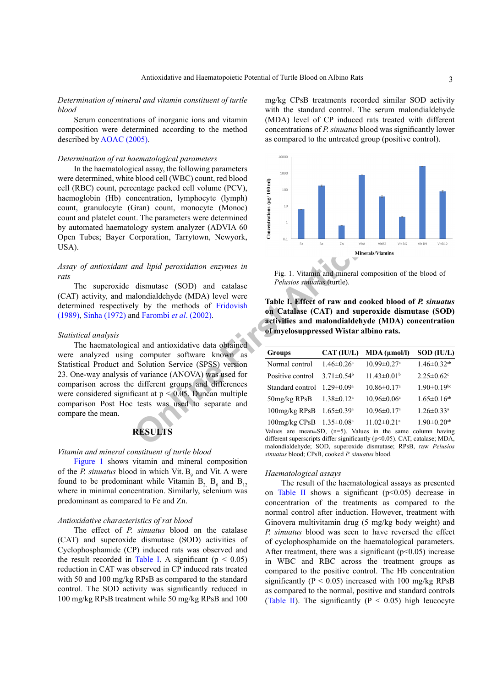*Determination of mineral and vitamin constituent of turtle blood*

Serum concentrations of inorganic ions and vitamin composition were determined according to the method described by [AOAC \(2005\)](#page-5-10).

## *Determination of rat haematological parameters*

In the haematological assay, the following parameters were determined, white blood cell (WBC) count, red blood cell (RBC) count, percentage packed cell volume (PCV), haemoglobin (Hb) concentration, lymphocyte (lymph) count, granulocyte (Gran) count, monocyte (Monoc) count and platelet count. The parameters were determined by automated haematology system analyzer (ADVIA 60 Open Tubes; Bayer Corporation, Tarrytown, Newyork, USA).

## *Assay of antioxidant and lipid peroxidation enzymes in rats*

The superoxide dismutase (SOD) and catalase (CAT) activity, and malondialdehyde (MDA) level were determined respectively by the methods of Fridovish [\(1989\)](#page-5-11), [Sinha \(1972\)](#page-5-12) and Farombi *et al*. (2002).

## *Statistical analysis*

The haematological and antioxidative data obtained were analyzed using computer software known as Statistical Product and Solution Service (SPSS) version 23. One-way analysis of variance (ANOVA) was used for comparison across the different groups and differences were considered significant at  $p < 0.05$ . Duncan multiple comparison Post Hoc tests was used to separate and compare the mean.



## *Vitamin and mineral constituent of turtle blood*

[Figure 1](#page-2-0) shows vitamin and mineral composition of the *P. sinuatus* blood in which Vit.  $B_9$  and Vit. A were found to be predominant while Vitamin  $B_2$ ,  $B_6$  and  $B_{12}$ where in minimal concentration. Similarly, selenium was predominant as compared to Fe and Zn.

## *Antioxidative characteristics of rat blood*

The effect of *P. sinuatus* blood on the catalase (CAT) and superoxide dismutase (SOD) activities of Cyclophosphamide (CP) induced rats was observed and the result recorded in [Table I](#page-2-1). A significant ( $p < 0.05$ ) reduction in CAT was observed in CP induced rats treated with 50 and 100 mg/kg RPsB as compared to the standard control. The SOD activity was significantly reduced in 100 mg/kg RPsB treatment while 50 mg/kg RPsB and 100

mg/kg CPsB treatments recorded similar SOD activity with the standard control. The serum malondialdehyde (MDA) level of CP induced rats treated with different concentrations of *P. sinuatus* blood was significantly lower as compared to the untreated group (positive control).



<span id="page-2-1"></span><span id="page-2-0"></span>Fig. 1. Vitamin and mineral composition of the blood of *Pelusios sinuatus* (turtle).

| Corporation, Tarrytown, Newyork,                                                                                                     | ဒီ<br>0.1                                                                                                                                                                                                            |                            |                               |                               |  |  |
|--------------------------------------------------------------------------------------------------------------------------------------|----------------------------------------------------------------------------------------------------------------------------------------------------------------------------------------------------------------------|----------------------------|-------------------------------|-------------------------------|--|--|
| and lipid peroxidation enzymes in<br>dismutase (SOD) and catalase                                                                    | Fe<br>Se<br>Zn<br>VitA<br>VitB2<br>Vit B6<br>Vit B9<br>VitB12<br>Minerals/Viamins<br>Fig. 1. Vitamin and mineral composition of the blood of<br><i>Pelusios sinuatus (turtle).</i>                                   |                            |                               |                               |  |  |
| alondialdehyde (MDA) level were<br>ly by the methods of Fridovish<br>nd Farombi et al. (2002).<br>al and antioxidative data obtained | Table I. Effect of raw and cooked blood of P. sinuatus<br>on Catalase (CAT) and superoxide dismutase (SOD)<br>activities and malondialdehyde (MDA) concentration<br>of myelosuppressed Wistar albino rats.<br>Groups | CAT (IU/L)                 | MDA (µmol/l)                  | SOD (IU/L)                    |  |  |
| computer software known as                                                                                                           | Normal control                                                                                                                                                                                                       | $1.46 \pm 0.26^a$          | $10.99 \pm 0.27$ <sup>a</sup> | $1.46 \pm 0.32$ <sup>ab</sup> |  |  |
| <b>Solution Service (SPSS) version</b><br>of variance (ANOVA) was used for<br>different groups and differences                       | Positive control                                                                                                                                                                                                     | $3.71 \pm 0.54^b$          | $11.43 \pm 0.01^b$            | $2.25 \pm 0.62$ °             |  |  |
|                                                                                                                                      | Standard control                                                                                                                                                                                                     | $1.29 \pm 0.09^a$          | $10.86 \pm 0.17$ <sup>a</sup> | $1.90 \pm 0.19$ bc            |  |  |
| icant at $p < 0.05$ . Duncan multiple<br>tests was used to separate and                                                              | 50mg/kg RPsB                                                                                                                                                                                                         | $1.38 \pm 0.12^a$          | $10.96 \pm 0.06^a$            | $1.65 \pm 0.16$ <sup>ab</sup> |  |  |
|                                                                                                                                      | 100mg/kg RPsB                                                                                                                                                                                                        | $1.65 \pm 0.39^{\text{a}}$ | $10.96 \pm 0.17$ <sup>a</sup> | $1.26 \pm 0.33$ <sup>a</sup>  |  |  |
| <b>RESULTS</b>                                                                                                                       | $100$ mg/kg CPsB $1.35\pm0.08^{\text{a}}$<br>Values are mean $\pm$ SD, (n=5). Values in the same column having                                                                                                       |                            | $11.02 \pm 0.21$ <sup>a</sup> | $1.90 \pm 0.20$ <sup>ab</sup> |  |  |
|                                                                                                                                      | different superscripts differ significantly $(p<0.05)$ . CAT, catalase; MDA,<br>malandialdekuda: SOD synoroxida dismytoso: DD-D row Delusias                                                                         |                            |                               |                               |  |  |

Values are mean $\pm$ SD, (n=5). Values in the same column having different superscripts differ significantly (p<0.05). CAT, catalase; MDA, malondialdehyde; SOD, superoxide dismutase; RPsB, raw *Pelusios sinuatus* blood; CPsB, cooked *P. sinuatus* blood.

#### *Haematological assays*

The result of the haematological assays as presented on [Table II](#page-3-0) shows a significant  $(p<0.05)$  decrease in concentration of the treatments as compared to the normal control after induction. However, treatment with Ginovera multivitamin drug (5 mg/kg body weight) and *P. sinuatus* blood was seen to have reversed the effect of cyclophosphamide on the haematological parameters. After treatment, there was a significant  $(p<0.05)$  increase in WBC and RBC across the treatment groups as compared to the positive control. The Hb concentration significantly ( $P < 0.05$ ) increased with 100 mg/kg RPsB as compared to the normal, positive and standard controls [\(Table II](#page-3-0)). The significantly ( $P < 0.05$ ) high leucocyte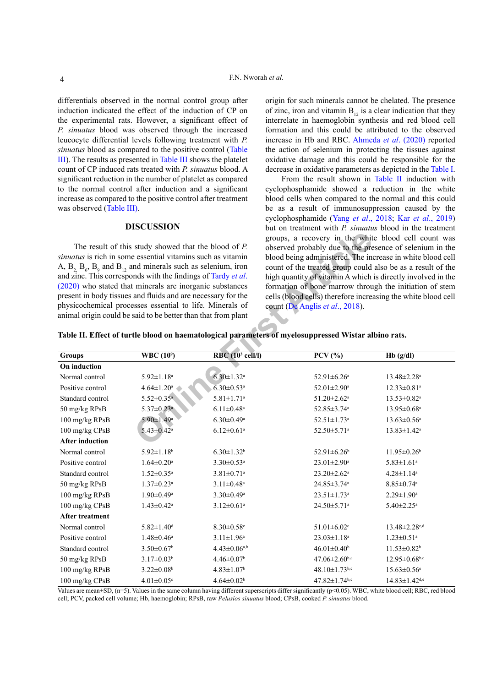differentials observed in the normal control group after induction indicated the effect of the induction of CP on the experimental rats. However, a significant effect of *P. sinuatus* blood was observed through the increased leucocyte differential levels following treatment with *P. sinuatus* blood as compared to the positive control [\(Table](#page-4-0) [III\)](#page-4-0). The results as presented in [Table III](#page-4-0) shows the platelet count of CP induced rats treated with *P. sinuatus* blood. A significant reduction in the number of platelet as compared to the normal control after induction and a significant increase as compared to the positive control after treatment was observed ([Table III](#page-4-0)).

## **DISCUSSION**

origin for such minerals cannot be chelated. The presence of zinc, iron and vitamin  $B_{12}$  is a clear indication that they interrelate in haemoglobin synthesis and red blood cell formation and this could be attributed to the observed increase in Hb and RBC. [Ahmeda](#page-5-15) *et al*. (2020) reported the action of selenium in protecting the tissues against oxidative damage and this could be responsible for the decrease in oxidative parameters as depicted in the [Table I](#page-2-1).

From the result shown in [Table II](#page-3-0) induction with cyclophosphamide showed a reduction in the white blood cells when compared to the normal and this could be as a result of immunosuppression caused by the cyclophosphamide (Yang *et al*[., 2018](#page-6-1); Kar *et al*[., 2019](#page-5-6)) but on treatment with *P. sinuatus* blood in the treatment groups, a recovery in the white blood cell count was observed probably due to the presence of selenium in the blood being administered. The increase in white blood cell count of the treated group could also be as a result of the high quantity of vitamin A which is directly involved in the formation of bone marrow through the initiation of stem cells (blood cells) therefore increasing the white blood cell count (De Anglis *et al*., 2018).

<span id="page-3-0"></span>

| sinuatus is rich in some essential vitamins such as vitamin | The result of this study showed that the blood of $P$ .<br>A, $B_2$ , $B_6$ , $B_9$ and $B_{12}$ and minerals such as selenium, iron<br>and zinc. This corresponds with the findings of Tardy et al.<br>(2020) who stated that minerals are inorganic substances<br>present in body tissues and fluids and are necessary for the<br>physicochemical processes essential to life. Minerals of<br>animal origin could be said to be better than that from plant |                              | groups, a recovery in the white blood cell count was<br>observed probably due to the presence of selenium in the<br>blood being administered. The increase in white blood cell<br>count of the treated group could also be as a result of the<br>high quantity of vitamin A which is directly involved in the<br>formation of bone marrow through the initiation of stem<br>cells (blood cells) therefore increasing the white blood cell<br>count (De Anglis et al., 2018).<br>Table II. Effect of turtle blood on haematological parameters of myelosuppressed Wistar albino rats. |                                 |  |
|-------------------------------------------------------------|---------------------------------------------------------------------------------------------------------------------------------------------------------------------------------------------------------------------------------------------------------------------------------------------------------------------------------------------------------------------------------------------------------------------------------------------------------------|------------------------------|--------------------------------------------------------------------------------------------------------------------------------------------------------------------------------------------------------------------------------------------------------------------------------------------------------------------------------------------------------------------------------------------------------------------------------------------------------------------------------------------------------------------------------------------------------------------------------------|---------------------------------|--|
| <b>Groups</b>                                               | <b>WBC</b> (10 <sup>9</sup> )                                                                                                                                                                                                                                                                                                                                                                                                                                 | $RBC(103$ cell/l)            | $PCV$ $%$                                                                                                                                                                                                                                                                                                                                                                                                                                                                                                                                                                            | Hb(g/dl)                        |  |
| On induction                                                |                                                                                                                                                                                                                                                                                                                                                                                                                                                               |                              |                                                                                                                                                                                                                                                                                                                                                                                                                                                                                                                                                                                      |                                 |  |
| Normal control                                              | $5.92 \pm 1.18$ <sup>a</sup>                                                                                                                                                                                                                                                                                                                                                                                                                                  | $6.30 \pm 1.32$ <sup>a</sup> | $52.91 \pm 6.26$ <sup>a</sup>                                                                                                                                                                                                                                                                                                                                                                                                                                                                                                                                                        | 13.48±2.28ª                     |  |
| Positive control                                            | $4.64 \pm 1.20^a$                                                                                                                                                                                                                                                                                                                                                                                                                                             | $6.30 \pm 0.53$ <sup>a</sup> | 52.01±2.90 <sup>a</sup>                                                                                                                                                                                                                                                                                                                                                                                                                                                                                                                                                              | $12.33 \pm 0.81$ <sup>a</sup>   |  |
| Standard control                                            | $5.52 \pm 0.35$ <sup>a</sup>                                                                                                                                                                                                                                                                                                                                                                                                                                  | $5.81 \pm 1.71$ <sup>a</sup> | $51.20 \pm 2.62$ <sup>a</sup>                                                                                                                                                                                                                                                                                                                                                                                                                                                                                                                                                        | $13.53 \pm 0.82$ <sup>a</sup>   |  |
| 50 mg/kg RPsB                                               | $5.37 \pm 0.23$ <sup>a</sup>                                                                                                                                                                                                                                                                                                                                                                                                                                  | $6.11 \pm 0.48$ <sup>a</sup> | 52.85±3.74 <sup>a</sup>                                                                                                                                                                                                                                                                                                                                                                                                                                                                                                                                                              | 13.95±0.68 <sup>a</sup>         |  |
| 100 mg/kg RPsB                                              | 5.90±1.49 <sup>a</sup>                                                                                                                                                                                                                                                                                                                                                                                                                                        | $6.30 \pm 0.49$ <sup>a</sup> | 52.51±1.73 <sup>a</sup>                                                                                                                                                                                                                                                                                                                                                                                                                                                                                                                                                              | $13.63 \pm 0.56$ <sup>a</sup>   |  |
| 100 mg/kg CPsB                                              | $5.43 \pm 0.42^a$                                                                                                                                                                                                                                                                                                                                                                                                                                             | $6.12 \pm 0.61$ <sup>a</sup> | 52.50±5.71 <sup>a</sup>                                                                                                                                                                                                                                                                                                                                                                                                                                                                                                                                                              | $13.83 \pm 1.42^a$              |  |
| <b>After induction</b>                                      |                                                                                                                                                                                                                                                                                                                                                                                                                                                               |                              |                                                                                                                                                                                                                                                                                                                                                                                                                                                                                                                                                                                      |                                 |  |
| Normal control                                              | $5.92 \pm 1.18$ <sup>b</sup>                                                                                                                                                                                                                                                                                                                                                                                                                                  | $6.30 \pm 1.32$ <sup>b</sup> | $52.91 \pm 6.26$ <sup>b</sup>                                                                                                                                                                                                                                                                                                                                                                                                                                                                                                                                                        | $11.95 \pm 0.26$ <sup>b</sup>   |  |
| Positive control                                            | $1.64 \pm 0.20$ <sup>a</sup>                                                                                                                                                                                                                                                                                                                                                                                                                                  | $3.30 \pm 0.53$ <sup>a</sup> | $23.01 \pm 2.90^a$                                                                                                                                                                                                                                                                                                                                                                                                                                                                                                                                                                   | $5.83 \pm 1.61$ <sup>a</sup>    |  |
| Standard control                                            | $1.52 \pm 0.35$ <sup>a</sup>                                                                                                                                                                                                                                                                                                                                                                                                                                  | $3.81 \pm 0.71$ <sup>a</sup> | $23.20 \pm 2.62$ <sup>a</sup>                                                                                                                                                                                                                                                                                                                                                                                                                                                                                                                                                        | $4.28 \pm 1.14$ <sup>a</sup>    |  |
| 50 mg/kg RPsB                                               | $1.37 \pm 0.23$ <sup>a</sup>                                                                                                                                                                                                                                                                                                                                                                                                                                  | $3.11 \pm 0.48$ <sup>a</sup> | 24.85±3.74 <sup>a</sup>                                                                                                                                                                                                                                                                                                                                                                                                                                                                                                                                                              | $8.85 \pm 0.74$ <sup>a</sup>    |  |
| 100 mg/kg RPsB                                              | $1.90 \pm 0.49$ <sup>a</sup>                                                                                                                                                                                                                                                                                                                                                                                                                                  | $3.30 \pm 0.49$ <sup>a</sup> | $23.51 \pm 1.73$ <sup>a</sup>                                                                                                                                                                                                                                                                                                                                                                                                                                                                                                                                                        | $2.29 \pm 1.90^a$               |  |
| 100 mg/kg CPsB                                              | $1.43 \pm 0.42$ <sup>a</sup>                                                                                                                                                                                                                                                                                                                                                                                                                                  | $3.12 \pm 0.61$ <sup>a</sup> | 24.50±5.71 <sup>a</sup>                                                                                                                                                                                                                                                                                                                                                                                                                                                                                                                                                              | $5.40 \pm 2.25$ <sup>a</sup>    |  |
| <b>After treatment</b>                                      |                                                                                                                                                                                                                                                                                                                                                                                                                                                               |                              |                                                                                                                                                                                                                                                                                                                                                                                                                                                                                                                                                                                      |                                 |  |
| Normal control                                              | $5.82 \pm 1.40$ <sup>d</sup>                                                                                                                                                                                                                                                                                                                                                                                                                                  | $8.30 \pm 0.58$ <sup>c</sup> | $51.01 \pm 6.02$ <sup>c</sup>                                                                                                                                                                                                                                                                                                                                                                                                                                                                                                                                                        | $13.48 \pm 2.28$ c,d            |  |
| Positive control                                            | $1.48 \pm 0.46^a$                                                                                                                                                                                                                                                                                                                                                                                                                                             | $3.11 \pm 1.96^a$            | $23.03 \pm 1.18$ <sup>a</sup>                                                                                                                                                                                                                                                                                                                                                                                                                                                                                                                                                        | $1.23 \pm 0.51$ <sup>a</sup>    |  |
| Standard control                                            | $3.50 \pm 0.67$ <sup>b</sup>                                                                                                                                                                                                                                                                                                                                                                                                                                  | $4.43 \pm 0.06^{a,b}$        | $46.01 \pm 0.40^b$                                                                                                                                                                                                                                                                                                                                                                                                                                                                                                                                                                   | $11.53 \pm 0.82^b$              |  |
| 50 mg/kg RPsB                                               | $3.17 \pm 0.03^b$                                                                                                                                                                                                                                                                                                                                                                                                                                             | $4.46 \pm 0.07$ <sup>b</sup> | $47.06 \pm 2.60$ b,c                                                                                                                                                                                                                                                                                                                                                                                                                                                                                                                                                                 | $12.95 \pm 0.68$ b,c            |  |
| 100 mg/kg RPsB                                              | $3.22 \pm 0.08$ <sup>b</sup>                                                                                                                                                                                                                                                                                                                                                                                                                                  | $4.83 \pm 1.07$ <sup>b</sup> | 48.10±1.73b,c                                                                                                                                                                                                                                                                                                                                                                                                                                                                                                                                                                        | $15.63 \pm 0.56$ <sup>e</sup>   |  |
| 100 mg/kg CPsB                                              | $4.01 \pm 0.05$ <sup>c</sup>                                                                                                                                                                                                                                                                                                                                                                                                                                  | $4.64 \pm 0.02^b$            | 47.82±1.74b,c                                                                                                                                                                                                                                                                                                                                                                                                                                                                                                                                                                        | $14.83 \pm 1.42$ <sup>d,e</sup> |  |

Values are mean $\pm$ SD, (n=5). Values in the same column having different superscripts differ significantly (p<0.05). WBC, white blood cell; RBC, red blood cell; PCV, packed cell volume; Hb, haemoglobin; RPsB, raw *Pelusios sinuatus* blood; CPsB, cooked *P. sinuatus* blood.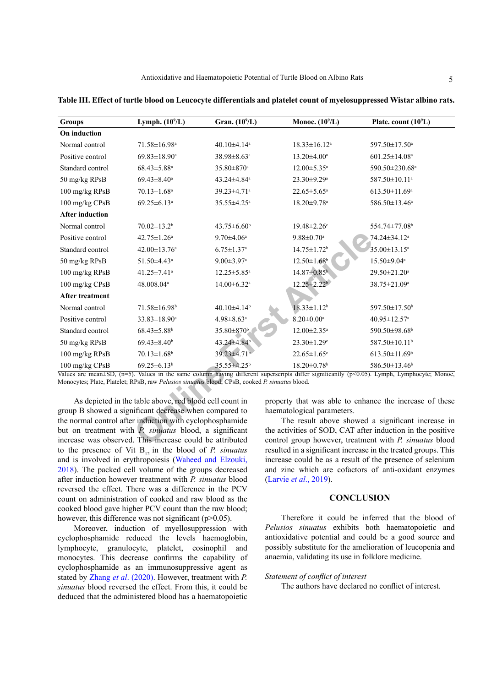| <b>Groups</b>                                                                                                                                                                                                                                 | Lymph. $(10^9/L)$                                        | Gran. (10 <sup>9</sup> /L)    | Monoc. $(10^9/L)$                                       | Plate. count (10 <sup>9</sup> L) |  |  |
|-----------------------------------------------------------------------------------------------------------------------------------------------------------------------------------------------------------------------------------------------|----------------------------------------------------------|-------------------------------|---------------------------------------------------------|----------------------------------|--|--|
| On induction                                                                                                                                                                                                                                  |                                                          |                               |                                                         |                                  |  |  |
| Normal control                                                                                                                                                                                                                                | 71.58±16.98 <sup>a</sup>                                 | 40.10 $\pm$ 4.14 <sup>a</sup> | $18.33 \pm 16.12^a$                                     | 597.50±17.50 <sup>a</sup>        |  |  |
| Positive control                                                                                                                                                                                                                              | $69.83 \pm 18.90^a$                                      | 38.98±8.63 <sup>a</sup>       | $13.20 \pm 4.00^a$                                      | $601.25 \pm 14.08$ <sup>a</sup>  |  |  |
| Standard control                                                                                                                                                                                                                              | $68.43 \pm 5.88$ <sup>a</sup>                            | 35.80±870 <sup>a</sup>        | $12.00 \pm 5.35$ <sup>a</sup>                           | 590.50±230.68 <sup>a</sup>       |  |  |
| 50 mg/kg RPsB                                                                                                                                                                                                                                 | $69.43 \pm 8.40^a$                                       | 43.24±4.84 <sup>a</sup>       | 23.30±9.29 <sup>a</sup>                                 | 587.50±10.11 <sup>a</sup>        |  |  |
| 100 mg/kg RPsB                                                                                                                                                                                                                                | $70.13 \pm 1.68$ <sup>a</sup>                            | 39.23±4.71ª                   | $22.65 \pm 5.65^{\text{a}}$                             | 613.50±11.69 <sup>a</sup>        |  |  |
| 100 mg/kg CPsB                                                                                                                                                                                                                                | $69.25 \pm 6.13$ <sup>a</sup>                            | 35.55±4.25 <sup>a</sup>       | $18.20 \pm 9.78$ <sup>a</sup>                           | 586.50±13.46 <sup>a</sup>        |  |  |
| <b>After induction</b>                                                                                                                                                                                                                        |                                                          |                               |                                                         |                                  |  |  |
| Normal control                                                                                                                                                                                                                                | $70.02 \pm 13.2$ <sup>b</sup>                            | $43.75 \pm 6.60^b$            | $19.48 \pm 2.26$ <sup>c</sup>                           | 554.74±77.08 <sup>b</sup>        |  |  |
| Positive control                                                                                                                                                                                                                              | $42.75 \pm 1.26^a$                                       | $9.70 \pm 4.06^a$             | $9.88 \pm 0.70$ <sup>a</sup>                            | 74.24±34.12 <sup>a</sup>         |  |  |
| Standard control                                                                                                                                                                                                                              | $42.00 \pm 13.76^a$                                      | $6.75 \pm 1.37$ <sup>a</sup>  | $14.75 \pm 1.72$ <sup>b</sup>                           | 35.00±13.15 <sup>a</sup>         |  |  |
| 50 mg/kg RPsB                                                                                                                                                                                                                                 | 51.50±4.43 <sup>a</sup>                                  | $9.00 \pm 3.97$ <sup>a</sup>  | $12.50 \pm 1.68$ <sup>b</sup>                           | 15.50±9.04 <sup>a</sup>          |  |  |
| 100 mg/kg RPsB                                                                                                                                                                                                                                | 41.25±7.41ª                                              | $12.25 \pm 5.85$ <sup>a</sup> | 14.87±0.85 <sup>b</sup>                                 | 29.50±21.20 <sup>a</sup>         |  |  |
| 100 mg/kg CPsB                                                                                                                                                                                                                                | 48.008.04 <sup>a</sup>                                   | $14.00 \pm 6.32$ <sup>a</sup> | $12.25 \pm 2.22$ <sup>b</sup>                           | 38.75±21.09 <sup>a</sup>         |  |  |
| After treatment                                                                                                                                                                                                                               |                                                          |                               |                                                         |                                  |  |  |
| Normal control                                                                                                                                                                                                                                | 71.58±16.98 <sup>b</sup>                                 | 40.10±4.14 <sup>b</sup>       | $18.33 \pm 1.12^b$                                      | 597.50±17.50 <sup>b</sup>        |  |  |
| Positive control                                                                                                                                                                                                                              | $33.83 \pm 18.90^a$                                      | $4.98 \pm 8.63$ <sup>a</sup>  | $8.20 \pm 0.00^a$                                       | $40.95 \pm 12.57$ <sup>a</sup>   |  |  |
| Standard control                                                                                                                                                                                                                              | $68.43 \pm 5.88$ <sup>b</sup>                            | 35.80±870 <sup>b</sup>        | $12.00 \pm 2.35$ <sup>a</sup>                           | 590.50±98.68 <sup>b</sup>        |  |  |
| 50 mg/kg RPsB                                                                                                                                                                                                                                 | $69.43 \pm 8.40^b$                                       | 43.24±4.84 <sup>b</sup>       | $23.30 \pm 1.29$ <sup>c</sup>                           | 587.50±10.11 <sup>b</sup>        |  |  |
| 100 mg/kg RPsB                                                                                                                                                                                                                                | $70.13 \pm 1.68$ <sup>b</sup>                            | 39.23±4.71 <sup>b</sup>       | $22.65 \pm 1.65$ <sup>c</sup>                           | $613.50 \pm 11.69$ <sup>b</sup>  |  |  |
| 100 mg/kg CPsB                                                                                                                                                                                                                                | $69.25 \pm 6.13$ <sup>b</sup>                            | 35.55±4.25 <sup>b</sup>       | $18.20 \pm 0.78$ <sup>b</sup>                           | 586.50±13.46 <sup>b</sup>        |  |  |
| Values are mean±SD, (n=5). Values in the same column having different superscripts differ significantly (p<0.05). Lymph, Lymphocyte; Monoc,<br>Monocytes; Plate, Platelet; RPsB, raw Pelusios sinuatus blood; CPsB, cooked P. sinuatus blood. |                                                          |                               |                                                         |                                  |  |  |
|                                                                                                                                                                                                                                               |                                                          |                               |                                                         |                                  |  |  |
| As depicted in the table above, red blood cell count in                                                                                                                                                                                       |                                                          |                               | property that was able to enhance the increase of these |                                  |  |  |
| group B showed a significant decrease when compared to                                                                                                                                                                                        |                                                          |                               | haematological parameters.                              |                                  |  |  |
| the normal control after induction with cyclophosphamide<br>The result above showed a significant increase in                                                                                                                                 |                                                          |                               |                                                         |                                  |  |  |
| but on treatment with P. sinuatus blood, a significant<br>the activities of SOD, CAT after induction in the positive                                                                                                                          |                                                          |                               |                                                         |                                  |  |  |
|                                                                                                                                                                                                                                               | increase was observed. This increase could be attributed |                               | control group however, treatment with P. sinuatus blood |                                  |  |  |

<span id="page-4-0"></span>**Table III. Effect of turtle blood on Leucocyte differentials and platelet count of myelosuppressed Wistar albino rats.**

As depicted in the table above, red blood cell count in group B showed a significant decrease when compared to the normal control after induction with cyclophosphamide but on treatment with *P. sinuatus* blood, a significant increase was observed. This increase could be attributed to the presence of Vit  $B_{12}$  in the blood of *P. sinuatus* and is involved in erythropoiesis ([Waheed and Elzouki,](#page-5-17) [2018\)](#page-5-17). The packed cell volume of the groups decreased after induction however treatment with *P. sinuatus* blood reversed the effect. There was a difference in the PCV count on administration of cooked and raw blood as the cooked blood gave higher PCV count than the raw blood; however, this difference was not significant ( $p>0.05$ ).

Moreover, induction of myellosuppression with cyclophosphamide reduced the levels haemoglobin, lymphocyte, granulocyte, platelet, eosinophil and monocytes. This decrease confirms the capability of cyclophosphamide as an immunosuppressive agent as stated by Zhang *et al*[. \(2020\).](#page-6-0) However, treatment with *P. sinuatus* blood reversed the effect. From this, it could be deduced that the administered blood has a haematopoietic

The result above showed a significant increase in the activities of SOD, CAT after induction in the positive control group however, treatment with *P. sinuatus* blood resulted in a significant increase in the treated groups. This increase could be as a result of the presence of selenium and zinc which are cofactors of anti-oxidant enzymes [\(Larvie](#page-5-18) *et al*., 2019).

# **CONCLUSION**

Therefore it could be inferred that the blood of *Pelusios sinuatus* exhibits both haematopoietic and antioxidative potential and could be a good source and possibly substitute for the amelioration of leucopenia and anaemia, validating its use in folklore medicine.

#### *Statement of conflict of interest*

The authors have declared no conflict of interest.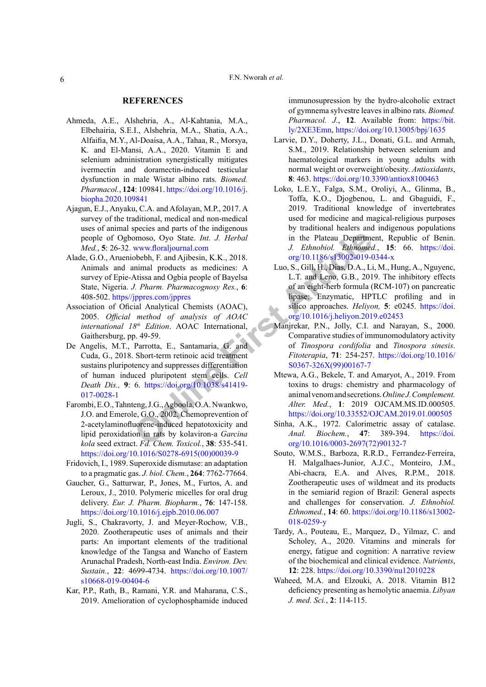#### **REFERENCES**

- <span id="page-5-15"></span>Ahmeda, A.E., Alshehria, A., Al-Kahtania, M.A., Elbehairia, S.E.I., Alshehria, M.A., Shatia, A.A., Alfaifia, M.Y., Al-Doaisa, A.A., Tahaa, R., Morsya, K. and El-Mansi, A.A., 2020. Vitamin E and selenium administration synergistically mitigates ivermectin and doramectin-induced testicular dysfunction in male Wistar albino rats. *Biomed. Pharmacol.*, **124**: 109841. [https://doi.org/10.1016/j.](https://doi.org/10.1016/j.biopha.2020.109841) [biopha.2020.109841](https://doi.org/10.1016/j.biopha.2020.109841)
- <span id="page-5-3"></span>Ajagun, E.J., Anyaku, C.A. and Afolayan, M.P., 2017. A survey of the traditional, medical and non-medical uses of animal species and parts of the indigenous people of Ogbomoso, Oyo State. *Int. J. Herbal Med.*, **5**: 26-32. www.floraljournal.com
- <span id="page-5-4"></span>Alade, G.O., Arueniobebh, F. and Ajibesin, K.K., 2018. Animals and animal products as medicines: A survey of Epie-Atissa and Ogbia people of Bayelsa State, Nigeria. *J. Pharm. Pharmacognosy Res.*, **6**: 408-502.<https//jppres.com/jppres>
- <span id="page-5-16"></span><span id="page-5-10"></span>Association of Oficial Analytical Chemists (AOAC), 2005. *Official method of analysis of AOAC international 18th Edition*. AOAC International, Gaithersburg, pp. 49-59.
- First Content Content Content Content Content Content Content Content Content Content Content Content Content Content Content Content Content Content Content Content Content Content Content Content Content Content Content De Angelis, M.T., Parrotta, E., Santamaria, G. and Cuda, G., 2018. Short-term retinoic acid treatment sustains pluripotency and suppresses differentiation of human induced pluripotent stem cells. *Cell Death Dis.,* **9**: 6. https://doi.org/10.1038/s41419- [017-0028-1](https://doi.org/10.1038/s41419-017-0028-1)
- <span id="page-5-13"></span>Farombi, E.O., Tahnteng, J.G., Agboola, O.A. Nwankwo, J.O. and Emerole, G.O., 2002. Chemoprevention of 2-acetylaminofluorene-induced hepatotoxicity and lipid peroxidation in rats by kolaviron-a *Garcina kola* seed extract. *Fd. Chem. Toxicol.*, **38**: 535-541. [https://doi.org/10.1016/S0278-6915\(00\)00039-9](https://doi.org/10.1016/S0278-6915(00)00039-9)
- <span id="page-5-11"></span>Fridovich, I., 1989. Superoxide dismutase: an adaptation to a pragmatic gas. *J. biol. Chem.*, **264**: 7762-77664.
- <span id="page-5-8"></span>Gaucher, G., Satturwar, P., Jones, M., Furtos, A. and Leroux, J., 2010. Polymeric micelles for oral drug delivery. *Eur. J. Pharm. Biopharm.*, **76**: 147-158. <https://doi.org/10.1016/j.ejpb.2010.06.007>
- <span id="page-5-5"></span>Jugli, S., Chakravorty, J. and Meyer-Rochow, V.B., 2020. Zootherapeutic uses of animals and their parts: An important elements of the traditional knowledge of the Tangsa and Wancho of Eastern Arunachal Pradesh, North-east India. *Environ. Dev. Sustain.*, **22**: 4699-4734. [https://doi.org/10.1007/](https://doi.org/10.1007/s10668-019-00404-6) [s10668-019-00404-6](https://doi.org/10.1007/s10668-019-00404-6)
- <span id="page-5-6"></span>Kar, P.P., Rath, B., Ramani, Y.R. and Maharana, C.S., 2019. Amelioration of cyclophosphamide induced

immunosupression by the hydro-alcoholic extract of gymnema sylvestre leaves in albino rats. *Biomed. Pharmacol. J.*, **12**. Available from: [https://bit.](https://bit.ly/2XE3Emn) [ly/2XE3Emn](https://bit.ly/2XE3Emn), <https://doi.org/10.13005/bpj/1635>

- <span id="page-5-18"></span>Larvie, D.Y., Doherty, J.L., Donati, G.L. and Armah, S.M., 2019. Relationship between selenium and haematological markers in young adults with normal weight or overweight/obesity. *Antioxidants*, **8**: 463. <https://doi.org/10.3390/antiox8100463>
- <span id="page-5-0"></span>Loko, L.E.Y., Falga, S.M., Oroliyi, A., Glinma, B., Toffa, K.O., Djogbenou, L. and Gbaguidi, F., 2019. Traditional knowledge of invertebrates used for medicine and magical-religious purposes by traditional healers and indigenous populations in the Plateau Department, Republic of Benin. *J. Ethnobiol. Ethnomed.*, **15**: 66. [https://doi.](https://doi.org/10.1186/s13002-019-0344-x) org/10.1186/s13002-019-0344-x
- <span id="page-5-7"></span>Luo, S., Gill, H., Dias, D.A., Li, M., Hung, A., Nguyenc, L.T. and Leno, G.B., 2019. The inhibitory effects of an eight-herb formula (RCM-107) on pancreatic lipase: Enzymatic, HPTLC profiling and in silico approaches. *Heliyon,* **5**: e0245. [https://doi.](https://doi.org/10.1016/j.heliyon.2019.e02453) org/10.1016/j.heliyon.2019.e02453
- <span id="page-5-9"></span>Manjrekar, P.N., Jolly, C.I. and Narayan, S., 2000. Comparative studies of immunomodulatory activity of *Tinospora cordifolia* and *Tinospora sinesis*. *Fitoterapia*, **71**: 254-257. [https://doi.org/10.1016/](https://doi.org/10.1016/S0367-326X(99)00167-7) S0367-326X(99)00167-7
- <span id="page-5-1"></span>Mtewa, A.G., Bekele, T. and Amaryot, A., 2019. From toxins to drugs: chemistry and pharmacology of animal venom and secretions. *Online J. Complement. Alter. Med.*, **1**: 2019 OJCAM.MS.ID.000505. <https://doi.org/10.33552/OJCAM.2019.01.000505>
- <span id="page-5-12"></span>Sinha, A.K., 1972. Calorimetric assay of catalase. *Anal. Biochem.*, **47**: 389-394. [https://doi.](https://doi.org/10.1016/0003-2697(72)90132-7) [org/10.1016/0003-2697\(72\)90132-7](https://doi.org/10.1016/0003-2697(72)90132-7)
- <span id="page-5-2"></span>Souto, W.M.S., Barboza, R.R.D., Ferrandez-Ferreira, H. Malgalhaes-Junior, A.J.C., Monteiro, J.M., Abi-chacra, E.A. and Alves, R.P.M., 2018. Zootherapeutic uses of wildmeat and its products in the semiarid region of Brazil: General aspects and challenges for conservation. *J. Ethnobiol. Ethnomed.*, **14**: 60. [https://doi.org/10.1186/s13002-](https://doi.org/10.1186/s13002-018-0259-y) [018-0259-y](https://doi.org/10.1186/s13002-018-0259-y)
- <span id="page-5-14"></span>Tardy, A., Pouteau, E., Marquez, D., Yilmaz, C. and Scholey, A., 2020. Vitamins and minerals for energy, fatigue and cognition: A narrative review of the biochemical and clinical evidence. *Nutrients*, **12**: 228. <https://doi.org/10.3390/nu12010228>
- <span id="page-5-17"></span>Waheed, M.A. and Elzouki, A. 2018. Vitamin B12 deficiency presenting as hemolytic anaemia. *Libyan J. med. Sci.*, **2**: 114-115.